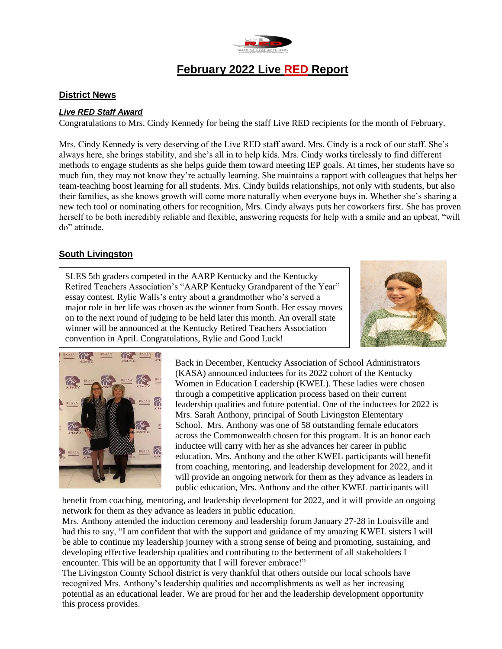

# **February 2022 Live RED Report**

### **District News**

#### *Live RED Staff Award*

Congratulations to Mrs. Cindy Kennedy for being the staff Live RED recipients for the month of February.

Mrs. Cindy Kennedy is very deserving of the Live RED staff award. Mrs. Cindy is a rock of our staff. She's always here, she brings stability, and she's all in to help kids. Mrs. Cindy works tirelessly to find different methods to engage students as she helps guide them toward meeting IEP goals. At times, her students have so much fun, they may not know they're actually learning. She maintains a rapport with colleagues that helps her team-teaching boost learning for all students. Mrs. Cindy builds relationships, not only with students, but also their families, as she knows growth will come more naturally when everyone buys in. Whether she's sharing a new tech tool or nominating others for recognition, Mrs. Cindy always puts her coworkers first. She has proven herself to be both incredibly reliable and flexible, answering requests for help with a smile and an upbeat, "will do" attitude.

#### **South Livingston**

SLES 5th graders competed in the AARP Kentucky and the Kentucky Retired Teachers Association's "AARP Kentucky Grandparent of the Year" essay contest. Rylie Walls's entry about a grandmother who's served a major role in her life was chosen as the winner from South. Her essay moves on to the next round of judging to be held later this month. An overall state winner will be announced at the Kentucky Retired Teachers Association convention in April. Congratulations, Rylie and Good Luck!





Back in December, Kentucky Association of School Administrators (KASA) announced inductees for its 2022 cohort of the Kentucky Women in Education Leadership (KWEL). These ladies were chosen through a competitive application process based on their current leadership qualities and future potential. One of the inductees for 2022 is Mrs. Sarah Anthony, principal of South Livingston Elementary School. Mrs. Anthony was one of 58 outstanding female educators across the Commonwealth chosen for this program. It is an honor each inductee will carry with her as she advances her career in public education. Mrs. Anthony and the other KWEL participants will benefit from coaching, mentoring, and leadership development for 2022, and it will provide an ongoing network for them as they advance as leaders in public education, Mrs. Anthony and the other KWEL participants will

benefit from coaching, mentoring, and leadership development for 2022, and it will provide an ongoing network for them as they advance as leaders in public education.

Mrs. Anthony attended the induction ceremony and leadership forum January 27-28 in Louisville and had this to say, "I am confident that with the support and guidance of my amazing KWEL sisters I will be able to continue my leadership journey with a strong sense of being and promoting, sustaining, and developing effective leadership qualities and contributing to the betterment of all stakeholders I encounter. This will be an opportunity that I will forever embrace!"

The Livingston County School district is very thankful that others outside our local schools have recognized Mrs. Anthony's leadership qualities and accomplishments as well as her increasing potential as an educational leader. We are proud for her and the leadership development opportunity this process provides.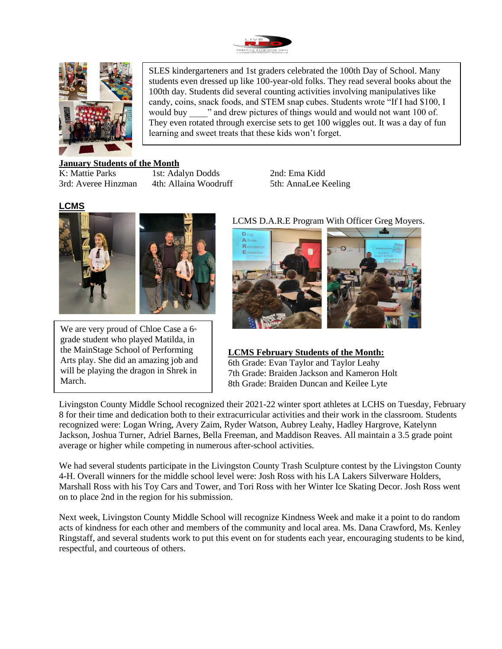



SLES kindergarteners and 1st graders celebrated the 100th Day of School. Many students even dressed up like 100-year-old folks. They read several books about the 100th day. Students did several counting activities involving manipulatives like candy, coins, snack foods, and STEM snap cubes. Students wrote "If I had \$100, I would buy wand drew pictures of things would and would not want 100 of. They even rotated through exercise sets to get 100 wiggles out. It was a day of fun learning and sweet treats that these kids won't forget.

#### **January Students of the Month**

K: Mattie Parks 1st: Adalyn Dodds 2nd: Ema Kidd 3rd: Averee Hinzman 4th: Allaina Woodruff 5th: AnnaLee Keeling

#### **LCMS**



We are very proud of Chloe Case a  $6<sup>th</sup>$ grade student who played Matilda, in the MainStage School of Performing Arts play. She did an amazing job and will be playing the dragon in Shrek in March.

#### LCMS D.A.R.E Program With Officer Greg Moyers.



#### **LCMS February Students of the Month:** 6th Grade: Evan Taylor and Taylor Leahy 7th Grade: Braiden Jackson and Kameron Holt 8th Grade: Braiden Duncan and Keilee Lyte

Livingston County Middle School recognized their 2021-22 winter sport athletes at LCHS on Tuesday, February 8 for their time and dedication both to their extracurricular activities and their work in the classroom. Students recognized were: Logan Wring, Avery Zaim, Ryder Watson, Aubrey Leahy, Hadley Hargrove, Katelynn Jackson, Joshua Turner, Adriel Barnes, Bella Freeman, and Maddison Reaves. All maintain a 3.5 grade point average or higher while competing in numerous after-school activities.

We had several students participate in the Livingston County Trash Sculpture contest by the Livingston County 4-H. Overall winners for the middle school level were: Josh Ross with his LA Lakers Silverware Holders, Marshall Ross with his Toy Cars and Tower, and Tori Ross with her Winter Ice Skating Decor. Josh Ross went on to place 2nd in the region for his submission.

Next week, Livingston County Middle School will recognize Kindness Week and make it a point to do random acts of kindness for each other and members of the community and local area. Ms. Dana Crawford, Ms. Kenley Ringstaff, and several students work to put this event on for students each year, encouraging students to be kind, respectful, and courteous of others.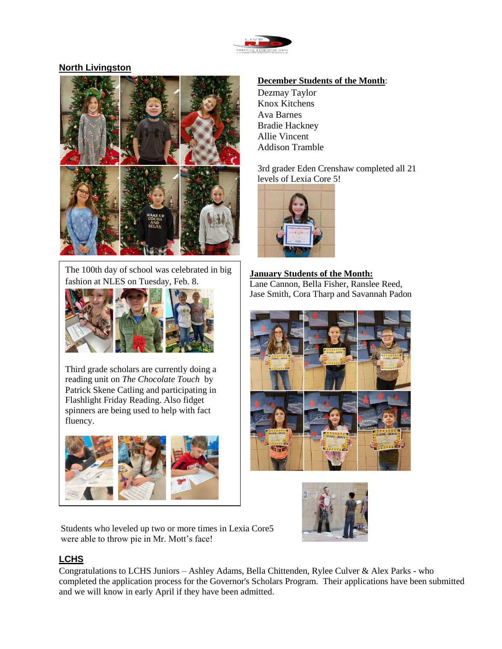

## **North Livingston**



The 100th day of school was celebrated in big fashion at NLES on Tuesday, Feb. 8.



Third grade scholars are currently doing a reading unit on *The Chocolate Touch* by Patrick Skene Catling and participating in Flashlight Friday Reading. Also fidget spinners are being used to help with fact fluency.



#### **December Students of the Month**:

Dezmay Taylor Knox Kitchens Ava Barnes Bradie Hackney Allie Vincent Addison Tramble

3rd grader Eden Crenshaw completed all 21 levels of Lexia Core 5!



# **January Students of the Month:**

Lane Cannon, Bella Fisher, Ranslee Reed, Jase Smith, Cora Tharp and Savannah Padon





Students who leveled up two or more times in Lexia Core5 were able to throw pie in Mr. Mott's face!

## **LCHS**

Congratulations to LCHS Juniors – Ashley Adams, Bella Chittenden, Rylee Culver & Alex Parks - who completed the application process for the Governor's Scholars Program. Their applications have been submitted and we will know in early April if they have been admitted.